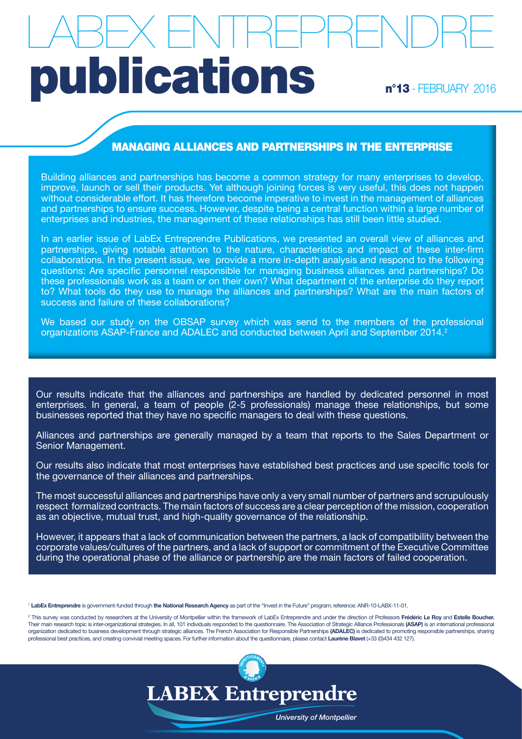# n°13 - FEBRUARY 2016 LABEX ENTREPRENDRE publications

## MANAGING ALLIANCES AND PARTNERSHIPS IN THE ENTERPRISE

Building alliances and partnerships has become a common strategy for many enterprises to develop, improve, launch or sell their products. Yet although joining forces is very useful, this does not happen without considerable effort. It has therefore become imperative to invest in the management of alliances and partnerships to ensure success. However, despite being a central function within a large number of enterprises and industries, the management of these relationships has still been little studied.

In an earlier issue of LabEx Entreprendre Publications, we presented an overall view of alliances and partnerships, giving notable attention to the nature, characteristics and impact of these inter-firm collaborations. In the present issue, we provide a more in-depth analysis and respond to the following questions: Are specific personnel responsible for managing business alliances and partnerships? Do these professionals work as a team or on their own? What department of the enterprise do they report to? What tools do they use to manage the alliances and partnerships? What are the main factors of success and failure of these collaborations?

We based our study on the OBSAP survey which was send to the members of the professional organizations ASAP-France and ADALEC and conducted between April and September 2014.<sup>2</sup>

Our results indicate that the alliances and partnerships are handled by dedicated personnel in most enterprises. In general, a team of people (2-5 professionals) manage these relationships, but some businesses reported that they have no specific managers to deal with these questions.

Alliances and partnerships are generally managed by a team that reports to the Sales Department or Senior Management.

Our results also indicate that most enterprises have established best practices and use specific tools for the governance of their alliances and partnerships.

The most successful alliances and partnerships have only a very small number of partners and scrupulously respect formalized contracts. The main factors of success are a clear perception of the mission, cooperation as an objective, mutual trust, and high-quality governance of the relationship.

However, it appears that a lack of communication between the partners, a lack of compatibility between the corporate values/cultures of the partners, and a lack of support or commitment of the Executive Committee during the operational phase of the alliance or partnership are the main factors of failed cooperation.

<sup>1</sup> LabEx Entreprendre is government-funded through the National Research Agency as part of the "Invest in the Future" program; reference: ANR-10-LABX-11-01.

<sup>2</sup> This survey was conducted by researchers at the University of Montpellier within the framework of LabEx Entreprendre and under the direction of Professors Frédéric Le Roy and Estelle Boucher. Their main research topic is inter-organizational strategies. In all, 101 individuals responded to the questionnaire. The Association of Strategic Alliance Professionals (ASAP) is an international professional organization dedicated to business development through strategic alliances. The French Association for Responsible Partnerships (ADALEC) is dedicated to promoting responsible partnerships, sharing professional best practices, and creating convivial meeting spaces. For further information about the questionnaire, please contact Laurène Blavet (+33 (0)434 432 127).



University of Montpellier

**Université de Montpellier**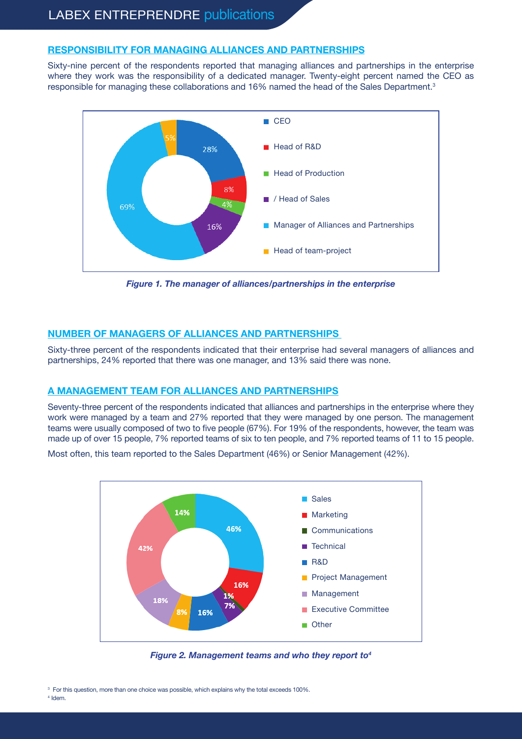### RESPONSIBILITY FOR MANAGING ALLIANCES AND PARTNERSHIPS

Sixty-nine percent of the respondents reported that managing alliances and partnerships in the enterprise where they work was the responsibility of a dedicated manager. Twenty-eight percent named the CEO as responsible for managing these collaborations and 16% named the head of the Sales Department.<sup>3</sup>



Figure 1. The manager of alliances/partnerships in the enterprise

### NUMBER OF MANAGERS OF ALLIANCES AND PARTNERSHIPS

Sixty-three percent of the respondents indicated that their enterprise had several managers of alliances and partnerships, 24% reported that there was one manager, and 13% said there was none.

#### A MANAGEMENT TEAM FOR ALLIANCES AND PARTNERSHIPS

Seventy-three percent of the respondents indicated that alliances and partnerships in the enterprise where they work were managed by a team and 27% reported that they were managed by one person. The management teams were usually composed of two to five people (67%). For 19% of the respondents, however, the team was made up of over 15 people, 7% reported teams of six to ten people, and 7% reported teams of 11 to 15 people.

Most often, this team reported to the Sales Department (46%) or Senior Management (42%).



Figure 2. Management teams and who they report to  $4$ 

<sup>3</sup> For this question, more than one choice was possible, which explains why the total exceeds 100%. 4 Idem.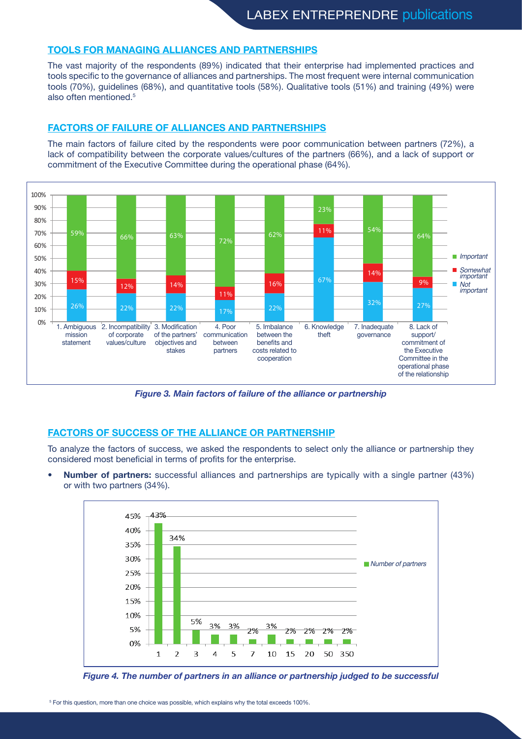#### TOOLS FOR MANAGING ALLIANCES AND PARTNERSHIPS

The vast majority of the respondents (89%) indicated that their enterprise had implemented practices and tools specific to the governance of alliances and partnerships. The most frequent were internal communication tools (70%), guidelines (68%), and quantitative tools (58%). Qualitative tools (51%) and training (49%) were also often mentioned.5

#### FACTORS OF FAILURE OF ALLIANCES AND PARTNERSHIPS

The main factors of failure cited by the respondents were poor communication between partners (72%), a lack of compatibility between the corporate values/cultures of the partners (66%), and a lack of support or commitment of the Executive Committee during the operational phase (64%). **23%**



Figure 3. Main factors of failure of the alliance or partnership

### FACTORS OF SUCCESS OF THE ALLIANCE OR PARTNERSHIP

To analyze the factors of success, we asked the respondents to select only the alliance or partnership they considered most beneficial in terms of profits for the enterprise.

**Number of partners:** successful alliances and partnerships are typically with a single partner (43%) or with two partners (34%).



Figure 4. The number of partners in an alliance or partnership judged to be successful